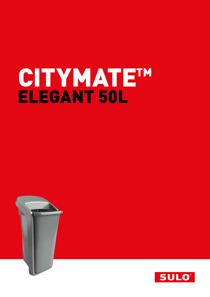# CITYMATE<sup>TM</sup>



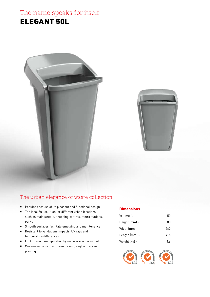# The name speaks for itself ELEGANT 50L



## The urban elegance of waste collection

- Popular because of its pleasant and functional design
- The ideal 50 l solution for different urban locations such as main streets, shopping centres, metro stations, parks
- Smooth surfaces facilitate emptying and maintenance
- Resistant to vandalism, impacts, UV rays and temperature differences
- **Lock to avoid manipulation by non-service personnel**
- Customizable by thermo-engraving, vinyl and screen printing

#### **Dimensions**

| Volume (L)         | 50  |
|--------------------|-----|
| Height (mm) $\sim$ | 880 |
| Width $(mm)$ ~     | 460 |
| Length $(mm)$ ~    | 415 |
| Weight $[kq]$ ~    | 3.6 |

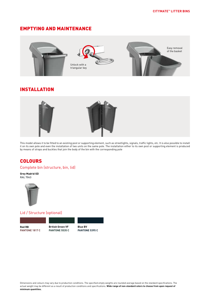#### EMPTYING AND MAINTENANCE



#### INSTALLATION



This model allows it to be fitted to an existing post or supporting element, such as streetlights, signals, traffic lights, etc. It is also possible to install it on its own pole and even the installation of two units on the same pole. The installation either to its own post or supporting element is produced by means of straps and buckles that join the body of the bin with the corresponding pole

#### **COLOURS**

Complete bin (structure, bin, lid)

**Grey Madrid GD RAL 7043**



#### Lid / Structure (optional)

**Red RB PANTONE 1817 C**

**British Green VF PANTONE 5535 C** 

**Blue BV PANTONE 5395 C**

Dimensions and colours may vary due to production conditions. The specified empty weights are rounded average based on the standard specifications. The actual weight may be different as a result of production conditions and specifications. **Wide range of non-standard colors to choose from upon request of minimum quantities.**